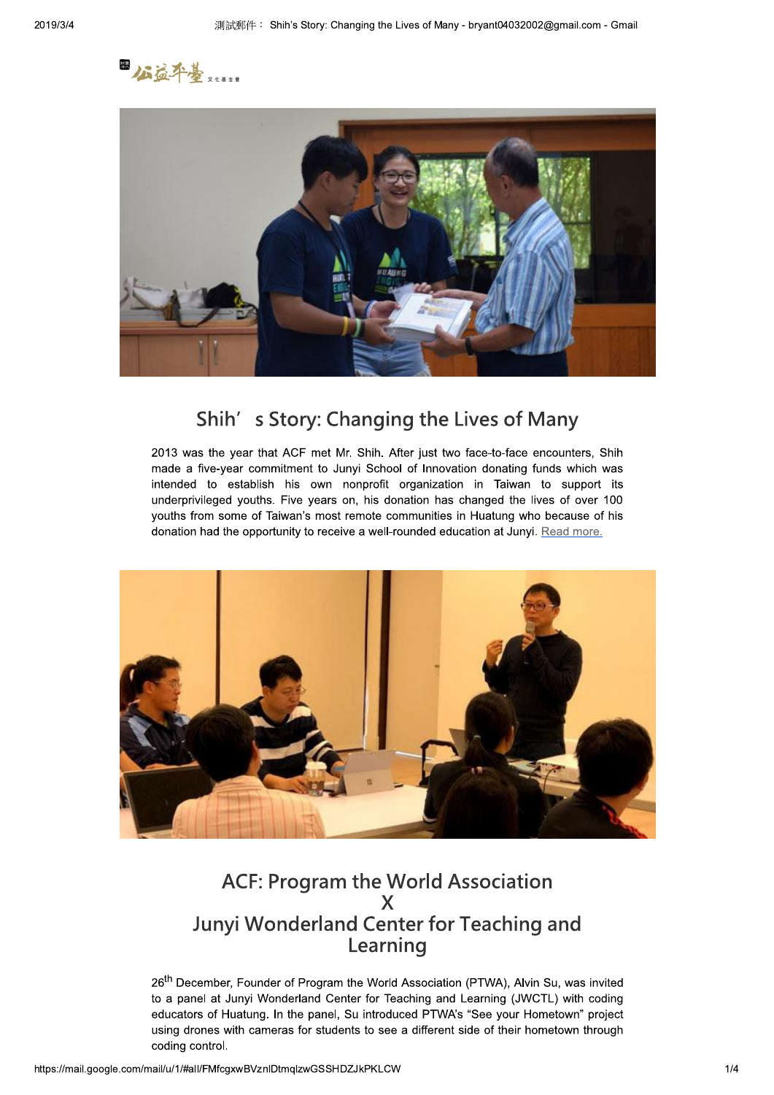

#### **ACF: Program the World Association** X Junyi Wonderland Center for Teaching and Learning

26<sup>th</sup> December, Founder of Program the World Association (PTWA), Alvin Su, was invited to a panel at Junyi Wonderland Center for Teaching and Learning (JWCTL) with coding educators of Huatung. In the panel, Su introduced PTWA's "See your Hometown" project using drones with cameras for students to see a different side of their hometown through coding control.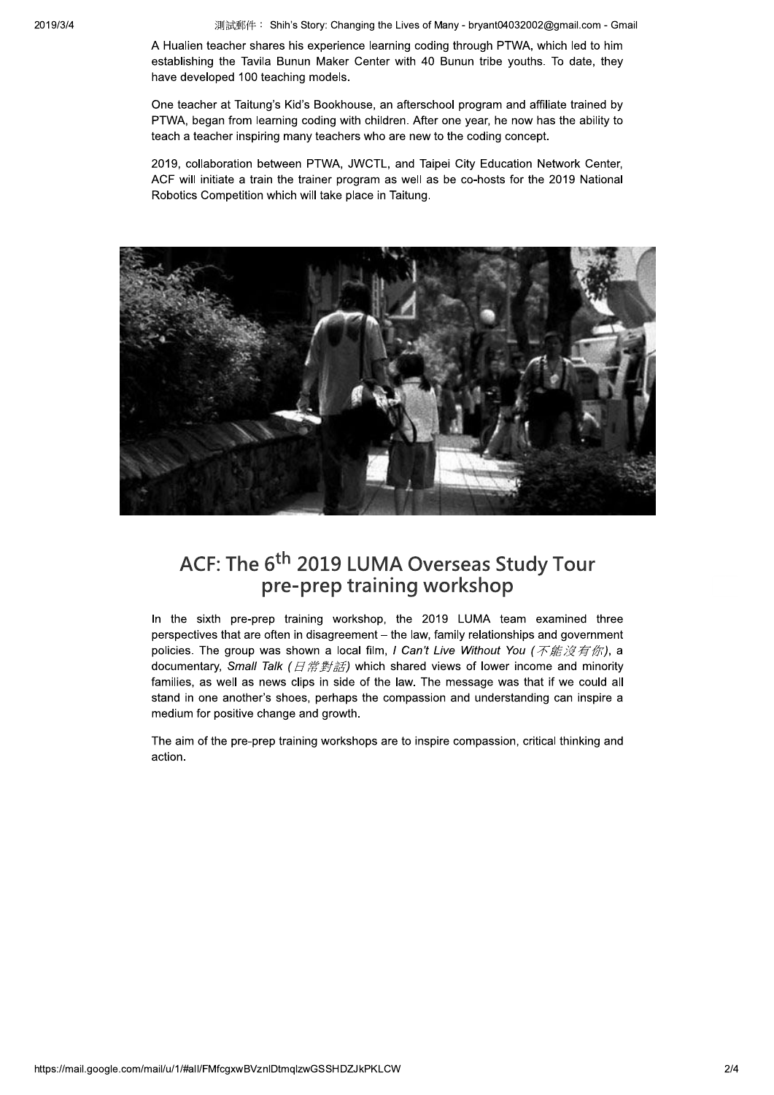A Hualien teacher shares his experience learning coding through PTWA, which led to him establishing the Tavila Bunun Maker Center with 40 Bunun tribe youths. To date, they have developed 100 teaching models.

One teacher at Taitung's Kid's Bookhouse, an afterschool program and affiliate trained by PTWA, began from learning coding with children. After one year, he now has the ability to teach a teacher inspiring many teachers who are new to the coding concept.

2019, collaboration between PTWA, JWCTL, and Taipei City Education Network Center, ACF will initiate a train the trainer program as well as be co-hosts for the 2019 National Robotics Competition which will take place in Taitung.



## ACF: The 6<sup>th</sup> 2019 LUMA Overseas Study Tour pre-prep training workshop

In the sixth pre-prep training workshop, the 2019 LUMA team examined three perspectives that are often in disagreement - the law, family relationships and government policies. The group was shown a local film, I Can't Live Without You (不能沒有你), a documentary, Small Talk ( $\Box \ H \# \# \Box$ ) which shared views of lower income and minority families, as well as news clips in side of the law. The message was that if we could all stand in one another's shoes, perhaps the compassion and understanding can inspire a medium for positive change and growth.

The aim of the pre-prep training workshops are to inspire compassion, critical thinking and action.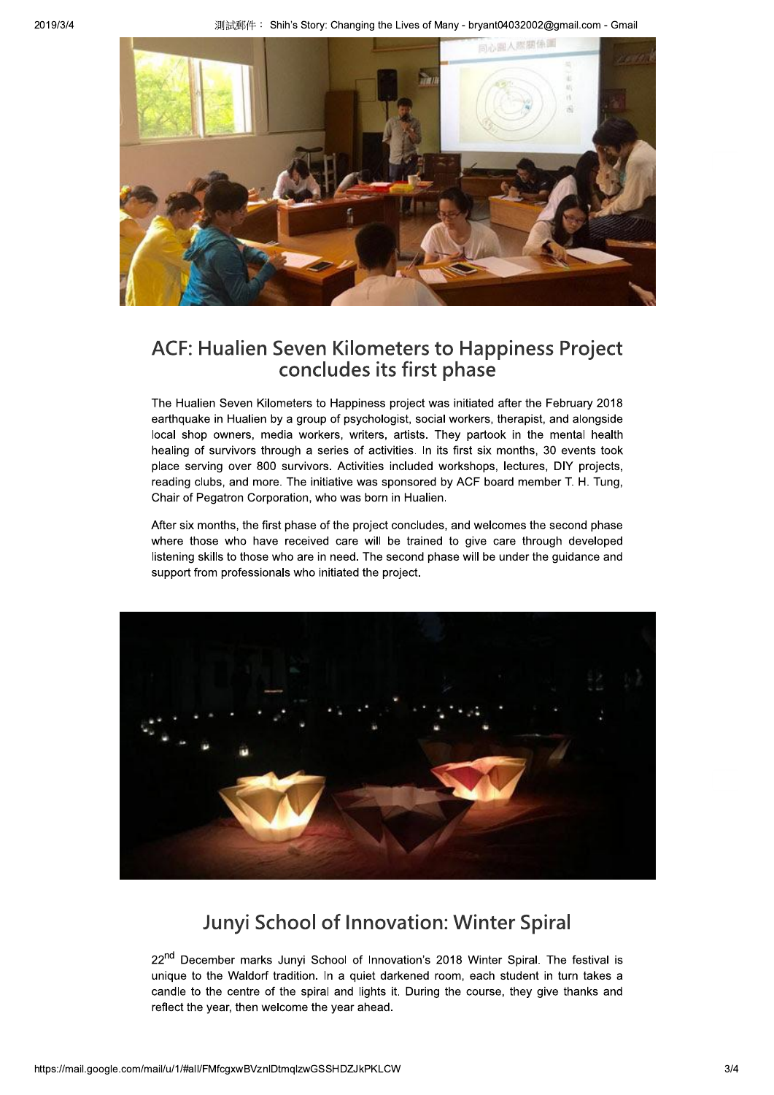

### ACF: Hualien Seven Kilometers to Happiness Project concludes its first phase

The Hualien Seven Kilometers to Happiness project was initiated after the February 2018 earthquake in Hualien by a group of psychologist, social workers, therapist, and alongside local shop owners, media workers, writers, artists. They partook in the mental health healing of survivors through a series of activities. In its first six months, 30 events took place serving over 800 survivors. Activities included workshops, lectures, DIY projects, reading clubs, and more. The initiative was sponsored by ACF board member T. H. Tung, Chair of Pegatron Corporation, who was born in Hualien.

After six months, the first phase of the project concludes, and welcomes the second phase where those who have received care will be trained to give care through developed listening skills to those who are in need. The second phase will be under the guidance and support from professionals who initiated the project.



# Junyi School of Innovation: Winter Spiral

22<sup>nd</sup> December marks Junyi School of Innovation's 2018 Winter Spiral. The festival is unique to the Waldorf tradition. In a quiet darkened room, each student in turn takes a candle to the centre of the spiral and lights it. During the course, they give thanks and reflect the year, then welcome the year ahead.